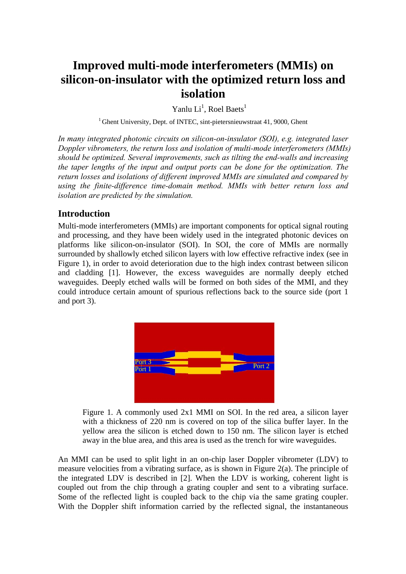# **Improved multi-mode interferometers (MMIs) on silicon-on-insulator with the optimized return loss and isolation**

Yanlu  $Li<sup>1</sup>$ , Roel Baets<sup>1</sup>

<sup>1</sup> Ghent University, Dept. of INTEC, sint-pietersnieuwstraat 41, 9000, Ghent

*In many integrated photonic circuits on silicon-on-insulator (SOI), e.g. integrated laser Doppler vibrometers, the return loss and isolation of multi-mode interferometers (MMIs) should be optimized. Several improvements, such as tilting the end-walls and increasing the taper lengths of the input and output ports can be done for the optimization. The return losses and isolations of different improved MMIs are simulated and compared by using the finite-difference time-domain method. MMIs with better return loss and isolation are predicted by the simulation.* 

## **Introduction**

Multi-mode interferometers (MMIs) are important components for optical signal routing and processing, and they have been widely used in the integrated photonic devices on platforms like silicon-on-insulator (SOI). In SOI, the core of MMIs are normally surrounded by shallowly etched silicon layers with low effective refractive index (see in Figure 1), in order to avoid deterioration due to the high index contrast between silicon and cladding [1]. However, the excess waveguides are normally deeply etched waveguides. Deeply etched walls will be formed on both sides of the MMI, and they could introduce certain amount of spurious reflections back to the source side (port 1 and port 3).



Figure 1. A commonly used 2x1 MMI on SOI. In the red area, a silicon layer with a thickness of 220 nm is covered on top of the silica buffer layer. In the yellow area the silicon is etched down to 150 nm. The silicon layer is etched away in the blue area, and this area is used as the trench for wire waveguides.

An MMI can be used to split light in an on-chip laser Doppler vibrometer (LDV) to measure velocities from a vibrating surface, as is shown in Figure 2(a). The principle of the integrated LDV is described in [2]. When the LDV is working, coherent light is coupled out from the chip through a grating coupler and sent to a vibrating surface. Some of the reflected light is coupled back to the chip via the same grating coupler. With the Doppler shift information carried by the reflected signal, the instantaneous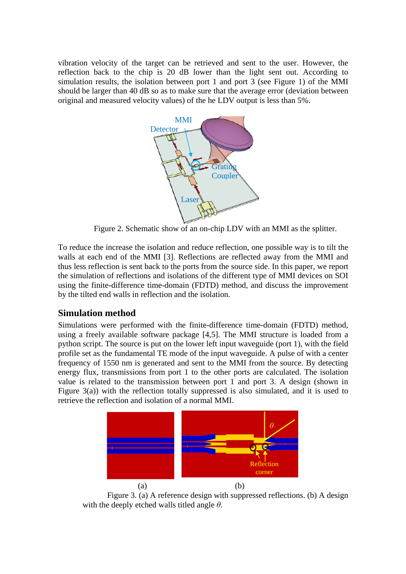vibration velocity of the target can be retrieved and sent to the user. However, the reflection back to the chip is 20 dB lower than the light sent out. According to simulation results, the isolation between port 1 and port 3 (see Figure 1) of the MMI should be larger than 40 dB so as to make sure that the average error (deviation between original and measured velocity values) of the he LDV output is less than 5%.



Figure 2. Schematic show of an on-chip LDV with an MMI as the splitter.

To reduce the increase the isolation and reduce reflection, one possible way is to tilt the walls at each end of the MMI [3]. Reflections are reflected away from the MMI and thus less reflection is sent back to the ports from the source side. In this paper, we report the simulation of reflections and isolations of the different type of MMI devices on SOI using the finite-difference time-domain (FDTD) method, and discuss the improvement by the tilted end walls in reflection and the isolation.

## **Simulation method**

Simulations were performed with the finite-difference time-domain (FDTD) method, using a freely available software package [4,5]. The MMI structure is loaded from a python script. The source is put on the lower left input waveguide (port 1), with the field profile set as the fundamental TE mode of the input waveguide. A pulse of with a center frequency of 1550 nm is generated and sent to the MMI from the source. By detecting energy flux, transmissions from port 1 to the other ports are calculated. The isolation value is related to the transmission between port 1 and port 3. A design (shown in Figure 3(a)) with the reflection totally suppressed is also simulated, and it is used to retrieve the reflection and isolation of a normal MMI.



 Figure 3. (a) A reference design with suppressed reflections. (b) A design with the deeply etched walls titled angle *θ*.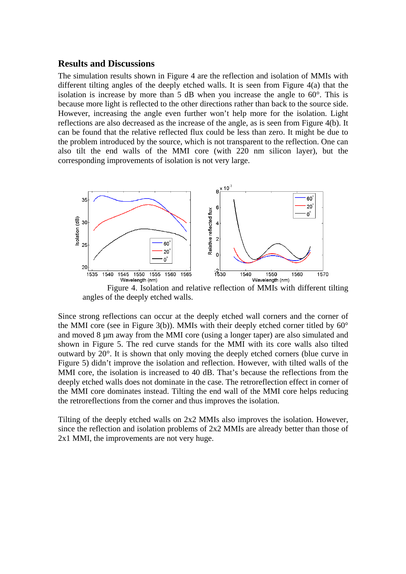#### **Results and Discussions**

The simulation results shown in Figure 4 are the reflection and isolation of MMIs with different tilting angles of the deeply etched walls. It is seen from Figure 4(a) that the isolation is increase by more than  $5$  dB when you increase the angle to  $60^\circ$ . This is because more light is reflected to the other directions rather than back to the source side. However, increasing the angle even further won't help more for the isolation. Light reflections are also decreased as the increase of the angle, as is seen from Figure 4(b). It can be found that the relative reflected flux could be less than zero. It might be due to the problem introduced by the source, which is not transparent to the reflection. One can also tilt the end walls of the MMI core (with 220 nm silicon layer), but the corresponding improvements of isolation is not very large.



Figure 4. Isolation and relative reflection of MMIs with different tilting angles of the deeply etched walls.

Since strong reflections can occur at the deeply etched wall corners and the corner of the MMI core (see in Figure 3(b)). MMIs with their deeply etched corner titled by  $60^{\circ}$ and moved 8 µm away from the MMI core (using a longer taper) are also simulated and shown in Figure 5. The red curve stands for the MMI with its core walls also tilted outward by 20°. It is shown that only moving the deeply etched corners (blue curve in Figure 5) didn't improve the isolation and reflection. However, with tilted walls of the MMI core, the isolation is increased to 40 dB. That's because the reflections from the deeply etched walls does not dominate in the case. The retroreflection effect in corner of the MMI core dominates instead. Tilting the end wall of the MMI core helps reducing the retroreflections from the corner and thus improves the isolation.

Tilting of the deeply etched walls on 2x2 MMIs also improves the isolation. However, since the reflection and isolation problems of 2x2 MMIs are already better than those of 2x1 MMI, the improvements are not very huge.